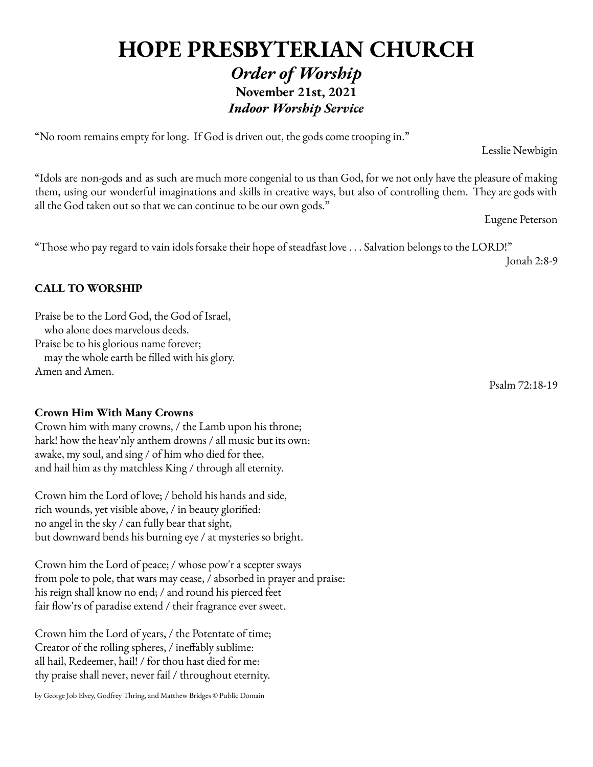# **HOPE PRESBYTERIAN CHURCH** *Order of Worship* **November 21st, 2021** *Indoor Worship Service*

"No room remains empty for long. If God is driven out, the gods come trooping in."

"Idols are non-gods and as such are much more congenial to us than God, for we not only have the pleasure of making them, using our wonderful imaginations and skills in creative ways, but also of controlling them. They are gods with all the God taken out so that we can continue to be our own gods."

Eugene Peterson

Lesslie Newbigin

"Those who pay regard to vain idols forsake their hope of steadfast love . . . Salvation belongs to the LORD!"

Jonah 2:8-9

### **CALL TO WORSHIP**

Praise be to the Lord God, the God of Israel, who alone does marvelous deeds. Praise be to his glorious name forever; may the whole earth be filled with his glory. Amen and Amen.

**Crown Him With Many Crowns**

Crown him with many crowns, / the Lamb upon his throne; hark! how the heav'nly anthem drowns / all music but its own: awake, my soul, and sing / of him who died for thee, and hail him as thy matchless King / through all eternity.

Crown him the Lord of love; / behold his hands and side, rich wounds, yet visible above, / in beauty glorified: no angel in the sky / can fully bear that sight, but downward bends his burning eye / at mysteries so bright.

Crown him the Lord of peace; / whose pow'r a scepter sways from pole to pole, that wars may cease, / absorbed in prayer and praise: his reign shall know no end; / and round his pierced feet fair flow'rs of paradise extend / their fragrance ever sweet.

Crown him the Lord of years, / the Potentate of time; Creator of the rolling spheres, / ineffably sublime: all hail, Redeemer, hail! / for thou hast died for me: thy praise shall never, never fail / throughout eternity.

by George Job Elvey, Godfrey Thring, and Matthew Bridges © Public Domain

Psalm 72:18-19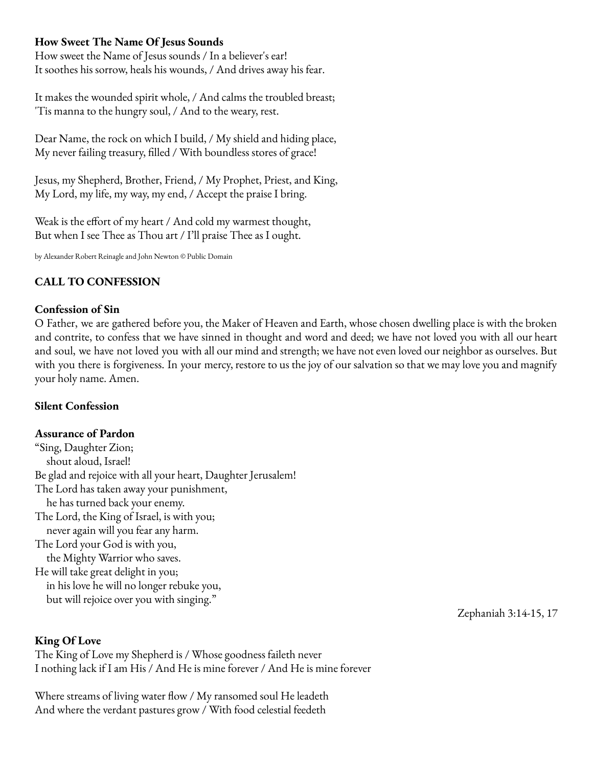### **How Sweet The Name Of Jesus Sounds**

How sweet the Name of Jesus sounds / In a believer's ear! It soothes his sorrow, heals his wounds, / And drives away his fear.

It makes the wounded spirit whole, / And calms the troubled breast; 'Tis manna to the hungry soul, / And to the weary, rest.

Dear Name, the rock on which I build, / My shield and hiding place, My never failing treasury, filled / With boundless stores of grace!

Jesus, my Shepherd, Brother, Friend, / My Prophet, Priest, and King, My Lord, my life, my way, my end, / Accept the praise I bring.

Weak is the effort of my heart / And cold my warmest thought, But when I see Thee as Thou art / I'll praise Thee as I ought.

by Alexander Robert Reinagleand John Newton © Public Domain

### **CALL TO CONFESSION**

#### **Confession of Sin**

O Father, we are gathered before you, the Maker of Heaven and Earth, whose chosen dwelling place is with the broken and contrite, to confess that we have sinned in thought and word and deed; we have not loved you with all our heart and soul, we have not loved you with all our mind and strength; we have not even loved our neighbor as ourselves. But with you there is forgiveness. In your mercy, restore to us the joy of our salvation so that we may love you and magnify your holy name. Amen.

#### **Silent Confession**

#### **Assurance of Pardon**

"Sing, Daughter Zion; shout aloud, Israel! Be glad and rejoice with all your heart, Daughter Jerusalem! The Lord has taken away your punishment, he has turned back your enemy. The Lord, the King of Israel, is with you; never again will you fear any harm. The Lord your God is with you, the Mighty Warrior who saves. He will take great delight in you; in his love he will no longer rebuke you, but will rejoice over you with singing."

Zephaniah 3:14-15, 17

#### **King Of Love**

The King of Love my Shepherd is / Whose goodness faileth never I nothing lack if I am His / And He is mine forever / And He is mine forever

Where streams of living water flow / My ransomed soul He leadeth And where the verdant pastures grow / With food celestial feedeth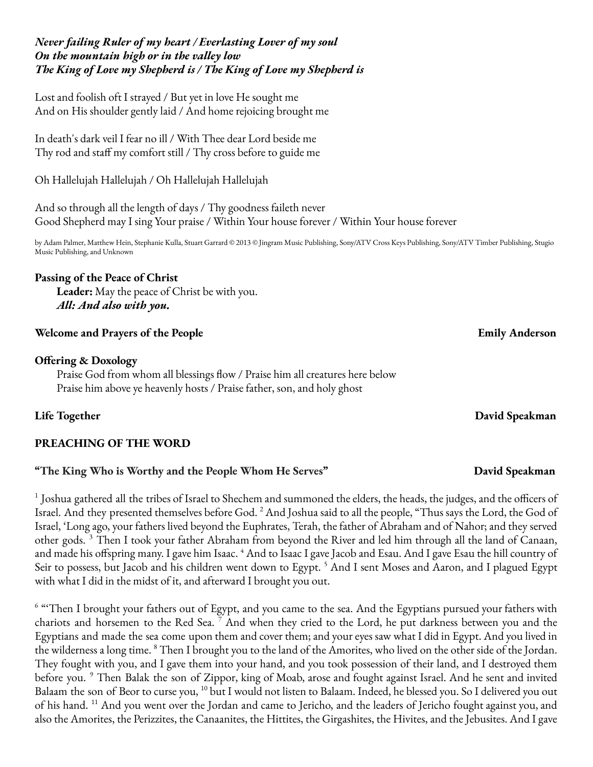### *Never failing Ruler of my heart / Everlasting Lover of my soul On the mountain high or in the valley low The King of Love my Shepherd is / The King of Love my Shepherd is*

Lost and foolish oft I strayed / But yet in love He sought me And on His shoulder gently laid / And home rejoicing brought me

In death's dark veil I fear no ill / With Thee dear Lord beside me Thy rod and staff my comfort still / Thy cross before to guide me

Oh Hallelujah Hallelujah / Oh Hallelujah Hallelujah

And so through all the length of days / Thy goodness faileth never Good Shepherd may I sing Your praise / Within Your house forever / Within Your house forever

by Adam Palmer, Matthew Hein, Stephanie Kulla, Stuart Garrard © 2013 © Jingram Music Publishing, Sony/ATV Cross Keys Publishing, Sony/ATV Timber Publishing, Stugio Music Publishing, and Unknown

# **Passing of the Peace of Christ**

**Leader:** May the peace of Christ be with you. *All: And also with you.*

# **Welcome and Prayers of the People Emily Anderson**

# **Offering & Doxology**

Praise God from whom all blessings flow / Praise him all creatures here below Praise him above ye heavenly hosts / Praise father, son, and holy ghost

**Life Together David Speakman**

# **PREACHING OF THE WORD**

# **"The King Who is Worthy and the People Whom He Serves" David Speakman**

 $^1$  Joshua gathered all the tribes of Israel to Shechem and summoned the elders, the heads, the judges, and the officers of Israel. And they presented themselves before God. <sup>2</sup> And Joshua said to all the people, "Thus says the Lord, the God of Israel, 'Long ago, your fathers lived beyond the Euphrates, Terah, the father of Abraham and of Nahor; and they served other gods.<sup>3</sup> Then I took your father Abraham from beyond the River and led him through all the land of Canaan, and made his offspring many. I gave him Isaac. <sup>4</sup> And to Isaac I gave Jacob and Esau. And I gave Esau the hill country of Seir to possess, but Jacob and his children went down to Egypt. <sup>5</sup> And I sent Moses and Aaron, and I plagued Egypt with what I did in the midst of it, and afterward I brought you out.

<sup>6</sup> "Then I brought your fathers out of Egypt, and you came to the sea. And the Egyptians pursued your fathers with chariots and horsemen to the Red Sea.<sup>7</sup> And when they cried to the Lord, he put darkness between you and the Egyptians and made the sea come upon them and cover them; and your eyes saw what I did in Egypt. And you lived in the wilderness a long time. <sup>8</sup> Then I brought you to the land of the Amorites, who lived on the other side of the Jordan. They fought with you, and I gave them into your hand, and you took possession of their land, and I destroyed them before you. <sup>9</sup> Then Balak the son of Zippor, king of Moab, arose and fought against Israel. And he sent and invited Balaam the son of Beor to curse you, <sup>10</sup> but I would not listen to Balaam. Indeed, he blessed you. So I delivered you out of his hand. <sup>11</sup> And you went over the Jordan and came to Jericho, and the leaders of Jericho fought against you, and also the Amorites, the Perizzites, the Canaanites, the Hittites, the Girgashites, the Hivites, and the Jebusites. And I gave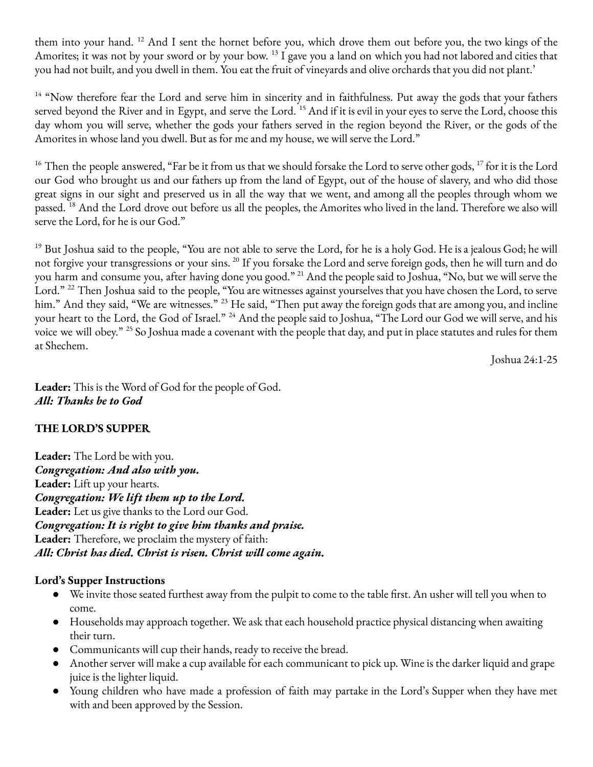them into your hand. <sup>12</sup> And I sent the hornet before you, which drove them out before you, the two kings of the Amorites; it was not by your sword or by your bow. <sup>13</sup> I gave you a land on which you had not labored and cities that you had not built, and you dwell in them. You eat the fruit of vineyards and olive orchards that you did not plant.'

 $14$  "Now therefore fear the Lord and serve him in sincerity and in faithfulness. Put away the gods that your fathers served beyond the River and in Egypt, and serve the Lord. <sup>15</sup> And if it is evil in your eyes to serve the Lord, choose this day whom you will serve, whether the gods your fathers served in the region beyond the River, or the gods of the Amorites in whose land you dwell. But as for me and my house, we will serve the Lord."

 $^{16}$  Then the people answered, "Far be it from us that we should forsake the Lord to serve other gods,  $^{17}$  for it is the Lord our God who brought us and our fathers up from the land of Egypt, out of the house of slavery, and who did those great signs in our sight and preserved us in all the way that we went, and among all the peoples through whom we passed. <sup>18</sup> And the Lord drove out before us all the peoples, the Amorites who lived in the land. Therefore we also will serve the Lord, for he is our God."

<sup>19</sup> But Joshua said to the people, "You are not able to serve the Lord, for he is a holy God. He is a jealous God; he will not forgive your transgressions or your sins. <sup>20</sup> If you forsake the Lord and serve foreign gods, then he will turn and do you harm and consume you, after having done you good." <sup>21</sup> And the people said to Joshua, "No, but we will serve the Lord." <sup>22</sup> Then Joshua said to the people, "You are witnesses against yourselves that you have chosen the Lord, to serve him." And they said, "We are witnesses." <sup>23</sup> He said, "Then put away the foreign gods that are among you, and incline your heart to the Lord, the God of Israel." <sup>24</sup> And the people said to Joshua, "The Lord our God we will serve, and his voice we will obey." <sup>25</sup> So Joshua made a covenant with the people that day, and put in place statutes and rules for them at Shechem.

Joshua 24:1-25

**Leader:** This is the Word of God for the people of God. *All: Thanks be to God*

# **THE LORD'S SUPPER**

**Leader:** The Lord be with you. *Congregation: And also with you.* **Leader:** Lift up your hearts. *Congregation: We lift them up to the Lord.* **Leader:** Let us give thanks to the Lord our God. *Congregation: It is right to give him thanks and praise.* **Leader:** Therefore, we proclaim the mystery of faith: *All: Christ has died. Christ is risen. Christ will come again.*

# **Lord's Supper Instructions**

- We invite those seated furthest away from the pulpit to come to the table first. An usher will tell you when to come.
- Households may approach together. We ask that each household practice physical distancing when awaiting their turn.
- Communicants will cup their hands, ready to receive the bread.
- Another server will make a cup available for each communicant to pick up. Wine is the darker liquid and grape juice is the lighter liquid.
- Young children who have made a profession of faith may partake in the Lord's Supper when they have met with and been approved by the Session.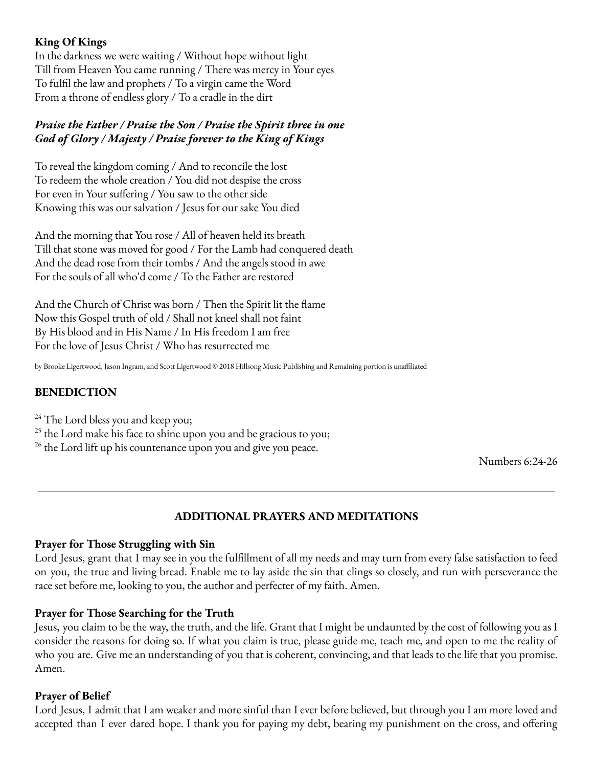## **King Of Kings**

In the darkness we were waiting / Without hope without light Till from Heaven You came running / There was mercy in Your eyes To fulfil the law and prophets / To a virgin came the Word From a throne of endless glory / To a cradle in the dirt

## *Praise the Father / Praise the Son / Praise the Spirit three in one God of Glory / Majesty / Praise forever to the King of Kings*

To reveal the kingdom coming / And to reconcile the lost To redeem the whole creation / You did not despise the cross For even in Your suffering / You saw to the other side Knowing this was our salvation / Jesus for our sake You died

And the morning that You rose / All of heaven held its breath Till that stone was moved for good / For the Lamb had conquered death And the dead rose from their tombs / And the angels stood in awe For the souls of all who'd come / To the Father are restored

And the Church of Christ was born / Then the Spirit lit the flame Now this Gospel truth of old / Shall not kneel shall not faint By His blood and in His Name / In His freedom I am free For the love of Jesus Christ / Who has resurrected me

by Brooke Ligertwood, Jason Ingram, and Scott Ligertwood © 2018 Hillsong Music Publishing and Remaining portion is unaffiliated

# **BENEDICTION**

 $24$  The Lord bless you and keep you;

 $25$  the Lord make his face to shine upon you and be gracious to you;

<sup>26</sup> the Lord lift up his countenance upon you and give you peace.

Numbers 6:24-26

# **ADDITIONAL PRAYERS AND MEDITATIONS**

### **Prayer for Those Struggling with Sin**

Lord Jesus, grant that I may see in you the fulfillment of all my needs and may turn from every false satisfaction to feed on you, the true and living bread. Enable me to lay aside the sin that clings so closely, and run with perseverance the race set before me, looking to you, the author and perfecter of my faith. Amen.

### **Prayer for Those Searching for the Truth**

Jesus, you claim to be the way, the truth, and the life. Grant that I might be undaunted by the cost of following you as I consider the reasons for doing so. If what you claim is true, please guide me, teach me, and open to me the reality of who you are. Give me an understanding of you that is coherent, convincing, and that leads to the life that you promise. Amen.

### **Prayer of Belief**

Lord Jesus, I admit that I am weaker and more sinful than I ever before believed, but through you I am more loved and accepted than I ever dared hope. I thank you for paying my debt, bearing my punishment on the cross, and offering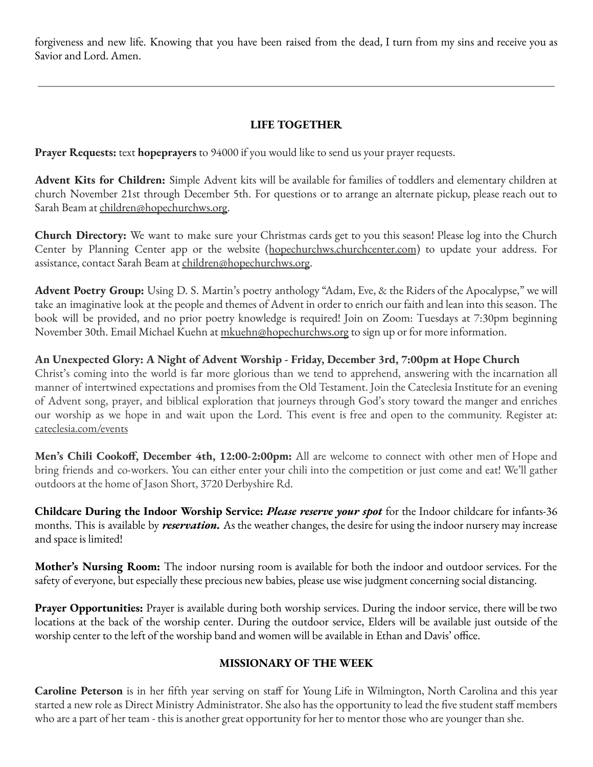forgiveness and new life. Knowing that you have been raised from the dead, I turn from my sins and receive you as Savior and Lord. Amen.

# **LIFE TOGETHER**

**Prayer Requests:** text **hopeprayers** to 94000 if you would like to send us your prayer requests.

**Advent Kits for Children:** Simple Advent kits will be available for families of toddlers and elementary children at church November 21st through December 5th. For questions or to arrange an alternate pickup, please reach out to Sarah Beam at children@hopechurchws.org.

**Church Directory:** We want to make sure your Christmas cards get to you this season! Please log into the Church Center by Planning Center app or the website (hopechurchws.churchcenter.com) to update your address. For assistance, contact Sarah Beam at children@hopechurchws.org.

**Advent Poetry Group:** Using D. S. Martin's poetry anthology "Adam, Eve, & the Riders of the Apocalypse," we will take an imaginative look at the people and themes of Advent in order to enrich our faith and lean into this season. The book will be provided, and no prior poetry knowledge is required! Join on Zoom: Tuesdays at 7:30pm beginning November 30th. Email Michael Kuehn at mkuehn@hopechurchws.org to sign up or for more information.

**An Unexpected Glory: A Night of Advent Worship - Friday, December 3rd, 7:00pm at Hope Church**

Christ's coming into the world is far more glorious than we tend to apprehend, answering with the incarnation all manner of intertwined expectations and promises from the Old Testament. Join the Cateclesia Institute for an evening of Advent song, prayer, and biblical exploration that journeys through God's story toward the manger and enriches our worship as we hope in and wait upon the Lord. This event is free and open to the community. Register at: cateclesia.com/events

**Men's Chili Cookoff, December 4th, 12:00-2:00pm:** All are welcome to connect with other men of Hope and bring friends and co-workers. You can either enter your chili into the competition or just come and eat! We'll gather outdoors at the home of Jason Short, 3720 Derbyshire Rd.

**Childcare During the Indoor Worship Service:** *Please reserve your spot* for the Indoor childcare for infants-36 months. This is available by *reservation.* As the weather changes, the desire for using the indoor nursery may increase and space is limited!

**Mother's Nursing Room:** The indoor nursing room is available for both the indoor and outdoor services. For the safety of everyone, but especially these precious new babies, please use wise judgment concerning social distancing.

**Prayer Opportunities:** Prayer is available during both worship services. During the indoor service, there will be two locations at the back of the worship center. During the outdoor service, Elders will be available just outside of the worship center to the left of the worship band and women will be available in Ethan and Davis' office.

### **MISSIONARY OF THE WEEK**

**Caroline Peterson** is in her fifth year serving on staff for Young Life in Wilmington, North Carolina and this year started a new role as Direct Ministry Administrator. She also has the opportunity to lead the five student staff members who are a part of her team - this is another great opportunity for her to mentor those who are younger than she.